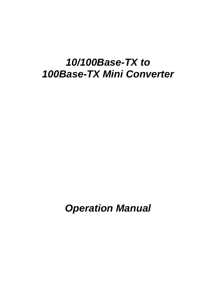### *10/100Base-TX to 100Base-TX Mini Converter*

*Operation Manual*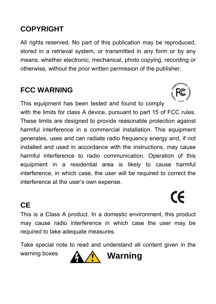#### **COPYRIGHT**

All rights reserved. No part of this publication may be reproduced. stored in a retrieval system, or transmitted in any form or by any means, whether electronic, mechanical, photo copying, recording or otherwise, without the prior written permission of the publisher.

#### **FCC WARNING**

This equipment has been tested and found to comply

with the limits for class A device, pursuant to part 15 of FCC rules. These limits are designed to provide reasonable protection against harmful interference in a commercial installation. This equipment generates, uses and can radiate radio frequency energy and, if not installed and used in accordance with the instructions, may cause harmful interference to radio communication. Operation of this equipment in a residential area is likely to cause harmful interference, in which case, the user will be required to correct the interference at the user's own expense.

#### **CE**

This is a Class A product. In a domestic environment, this product may cause radio interference in which case the user may be required to take adequate measures.

Take special note to read and understand all content given in the warning boxes **A Warning** 



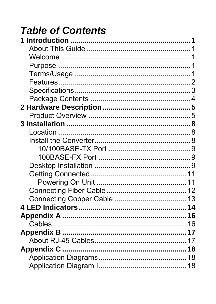# **Table of Contents**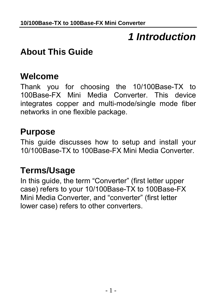## *1 Introduction*

#### <span id="page-4-0"></span>**About This Guide**

#### **Welcome**

Thank you for choosing the 10/100Base-TX to 100Base-FX Mini Media Converter. This device integrates copper and multi-mode/single mode fiber networks in one flexible package.

#### **Purpose**

This guide discusses how to setup and install your 10/100Base-TX to 100Base-FX Mini Media Converter.

#### **Terms/Usage**

In this guide, the term "Converter" (first letter upper case) refers to your 10/100Base-TX to 100Base-FX Mini Media Converter, and "converter" (first letter lower case) refers to other converters.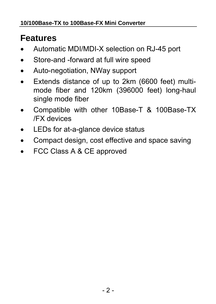### <span id="page-5-0"></span>**Features**

- Automatic MDI/MDI-X selection on RJ-45 port
- Store-and -forward at full wire speed
- Auto-negotiation, NWay support
- Extends distance of up to 2km (6600 feet) multimode fiber and 120km (396000 feet) long-haul single mode fiber
- Compatible with other 10Base-T & 100Base-TX /FX devices
- LEDs for at-a-glance device status
- Compact design, cost effective and space saving
- FCC Class A & CE approved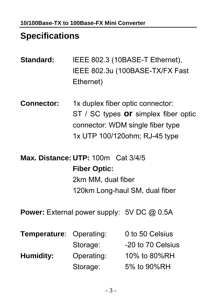#### <span id="page-6-0"></span>**Specifications**

- **Standard:** IEEE 802.3 (10BASE-T Ethernet), IEEE 802.3u (100BASE-TX/FX Fast Ethernet)
- **Connector:** 1x duplex fiber optic connector: ST / SC types **or** simplex fiber optic connector: WDM single fiber type 1x UTP 100/120ohm; RJ-45 type
- **Max. Distance: UTP:** 100m Cat 3/4/5 **Fiber Optic:** 2km MM, dual fiber 120km Long-haul SM, dual fiber
- **Power:** External power supply: 5V DC @ 0.5A

| <b>Temperature: Operating:</b> |            | 0 to 50 Celsius   |
|--------------------------------|------------|-------------------|
|                                | Storage:   | -20 to 70 Celsius |
| Humidity:                      | Operating: | 10% to 80%RH      |
|                                | Storage:   | 5% to 90%RH       |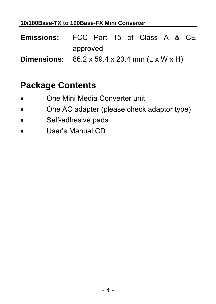#### <span id="page-7-0"></span>**10/100Base-TX to 100Base-FX Mini Converter**

- **Emissions:** FCC Part 15 of Class A & CE approved
- **Dimensions:** 86.2 x 59.4 x 23.4 mm (L x W x H)

#### **Package Contents**

- One Mini Media Converter unit
- One AC adapter (please check adaptor type)
- Self-adhesive pads
- User's Manual CD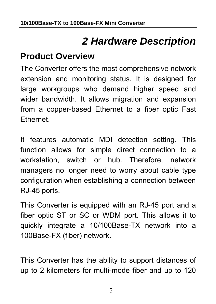## *2 Hardware Description*

#### <span id="page-8-0"></span>**Product Overview**

The Converter offers the most comprehensive network extension and monitoring status. It is designed for large workgroups who demand higher speed and wider bandwidth. It allows migration and expansion from a copper-based Ethernet to a fiber optic Fast Ethernet.

It features automatic MDI detection setting. This function allows for simple direct connection to a workstation, switch or hub. Therefore, network managers no longer need to worry about cable type configuration when establishing a connection between RJ-45 ports.

This Converter is equipped with an RJ-45 port and a fiber optic ST or SC or WDM port. This allows it to quickly integrate a 10/100Base-TX network into a 100Base-FX (fiber) network.

This Converter has the ability to support distances of up to 2 kilometers for multi-mode fiber and up to 120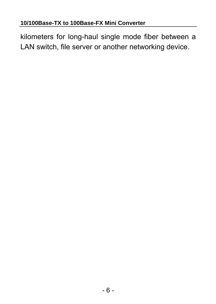kilometers for long-haul single mode fiber between a LAN switch, file server or another networking device.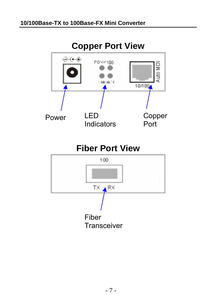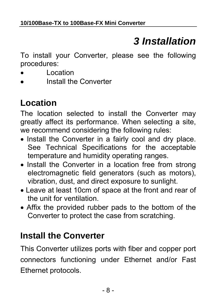# *3 Installation*

<span id="page-11-0"></span>To install your Converter, please see the following procedures:

- Location
- Install the Converter

### **Location**

The location selected to install the Converter may greatly affect its performance. When selecting a site, we recommend considering the following rules:

- Install the Converter in a fairly cool and dry place. See Technical Specifications for the acceptable temperature and humidity operating ranges.
- Install the Converter in a location free from strong electromagnetic field generators (such as motors), vibration, dust, and direct exposure to sunlight.
- Leave at least 10cm of space at the front and rear of the unit for ventilation.
- Affix the provided rubber pads to the bottom of the Converter to protect the case from scratching.

#### **Install the Converter**

This Converter utilizes ports with fiber and copper port connectors functioning under Ethernet and/or Fast Ethernet protocols.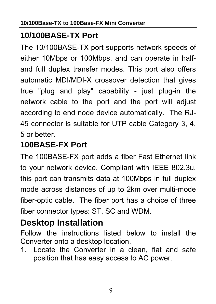#### <span id="page-12-0"></span>**10/100BASE-TX Port**

The 10/100BASE-TX port supports network speeds of either 10Mbps or 100Mbps, and can operate in halfand full duplex transfer modes. This port also offers automatic MDI/MDI-X crossover detection that gives true "plug and play" capability - just plug-in the network cable to the port and the port will adjust according to end node device automatically. The RJ-45 connector is suitable for UTP cable Category 3, 4, 5 or better.

#### **100BASE-FX Port**

The 100BASE-FX port adds a fiber Fast Ethernet link to your network device. Compliant with IEEE 802.3u, this port can transmits data at 100Mbps in full duplex mode across distances of up to 2km over multi-mode fiber-optic cable. The fiber port has a choice of three fiber connector types: ST, SC and WDM.

#### **Desktop Installation**

Follow the instructions listed below to install the Converter onto a desktop location.

1. Locate the Converter in a clean, flat and safe position that has easy access to AC power.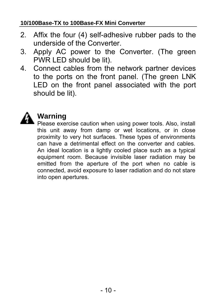#### **10/100Base-TX to 100Base-FX Mini Converter**

- 2. Affix the four (4) self-adhesive rubber pads to the underside of the Converter.
- 3. Apply AC power to the Converter. (The green PWR LED should be lit).
- 4. Connect cables from the network partner devices to the ports on the front panel. (The green LNK LED on the front panel associated with the port should be lit).



#### **Warning**

Please exercise caution when using power tools. Also, install this unit away from damp or wet locations, or in close proximity to very hot surfaces. These types of environments can have a detrimental effect on the converter and cables. An ideal location is a lightly cooled place such as a typical equipment room. Because invisible laser radiation may be emitted from the aperture of the port when no cable is connected, avoid exposure to laser radiation and do not stare into open apertures.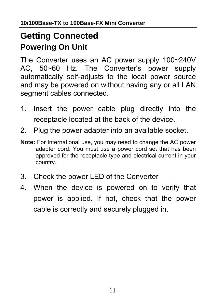### <span id="page-14-0"></span>**Getting Connected Powering On Unit**

The Converter uses an AC power supply 100~240V AC, 50~60 Hz. The Converter's power supply automatically self-adjusts to the local power source and may be powered on without having any or all LAN segment cables connected.

- 1. Insert the power cable plug directly into the receptacle located at the back of the device.
- 2. Plug the power adapter into an available socket.
- **Note:** For International use, you may need to change the AC power adapter cord. You must use a power cord set that has been approved for the receptacle type and electrical current in your country.
- 3. Check the power LED of the Converter
- 4. When the device is powered on to verify that power is applied. If not, check that the power cable is correctly and securely plugged in.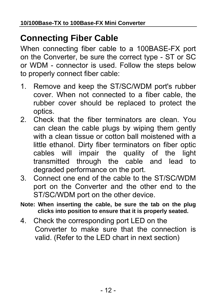#### <span id="page-15-0"></span>**Connecting Fiber Cable**

When connecting fiber cable to a 100BASE-FX port on the Converter, be sure the correct type - ST or SC or WDM - connector is used. Follow the steps below to properly connect fiber cable:

- 1. Remove and keep the ST/SC/WDM port's rubber cover. When not connected to a fiber cable, the rubber cover should be replaced to protect the optics.
- 2. Check that the fiber terminators are clean. You can clean the cable plugs by wiping them gently with a clean tissue or cotton ball moistened with a little ethanol. Dirty fiber terminators on fiber optic cables will impair the quality of the light transmitted through the cable and lead to degraded performance on the port.
- 3. Connect one end of the cable to the ST/SC/WDM port on the Converter and the other end to the ST/SC/WDM port on the other device.
- **Note: When inserting the cable, be sure the tab on the plug clicks into position to ensure that it is properly seated.**
- 4. Check the corresponding port LED on the Converter to make sure that the connection is valid. (Refer to the LED chart in next section)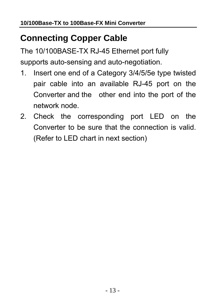### <span id="page-16-0"></span>**Connecting Copper Cable**

The 10/100BASE-TX RJ-45 Ethernet port fully supports auto-sensing and auto-negotiation.

- 1. Insert one end of a Category 3/4/5/5e type twisted pair cable into an available RJ-45 port on the Converter and the other end into the port of the network node.
- 2. Check the corresponding port LED on the Converter to be sure that the connection is valid. (Refer to LED chart in next section)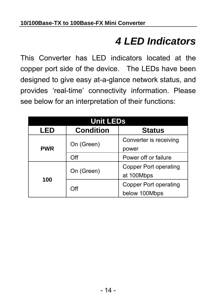## *4 LED Indicators*

<span id="page-17-0"></span>This Converter has LED indicators located at the copper port side of the device. The LEDs have been designed to give easy at-a-glance network status, and provides 'real-time' connectivity information. Please see below for an interpretation of their functions:

| <b>Unit LEDs</b> |                  |                        |  |
|------------------|------------------|------------------------|--|
| LED              | <b>Condition</b> | <b>Status</b>          |  |
|                  | On (Green)       | Converter is receiving |  |
| <b>PWR</b>       |                  | power                  |  |
|                  | Off              | Power off or failure   |  |
| 100              |                  | Copper Port operating  |  |
|                  | On (Green)       | at 100Mbps             |  |
|                  | Off              | Copper Port operating  |  |
|                  |                  | below 100Mbps          |  |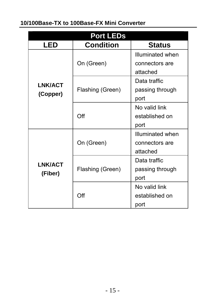#### **10/100Base-TX to 100Base-FX Mini Converter**

| <b>Port LEDs</b>          |                                   |                  |  |
|---------------------------|-----------------------------------|------------------|--|
| LED                       | <b>Condition</b><br><b>Status</b> |                  |  |
|                           | On (Green)                        | Illuminated when |  |
|                           |                                   | connectors are   |  |
|                           |                                   | attached         |  |
| <b>LNK/ACT</b>            |                                   | Data traffic     |  |
| (Copper)                  | Flashing (Green)                  | passing through  |  |
|                           |                                   | port             |  |
|                           |                                   | No valid link    |  |
|                           | Off                               | established on   |  |
|                           |                                   | port             |  |
|                           |                                   | Illuminated when |  |
|                           | On (Green)                        | connectors are   |  |
|                           |                                   | attached         |  |
| <b>LNK/ACT</b><br>(Fiber) |                                   | Data traffic     |  |
|                           | Flashing (Green)                  | passing through  |  |
|                           |                                   | port             |  |
|                           |                                   | No valid link    |  |
|                           | Off                               | established on   |  |
|                           |                                   | port             |  |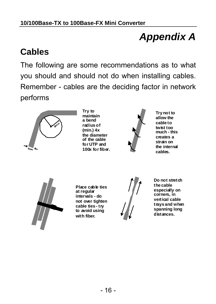# *Appendix A*

#### <span id="page-19-0"></span>**Cables**

The following are some recommendations as to what you should and should not do when installing cables. Remember - cables are the deciding factor in network performs



**Try to maintain a bend radius of (min.) 4x the diameter of the cable for UTP and 100x for fiber.**



**Try not to allow the cable to twist too much - this creates a strain on the internal cables.**



**Place cable ties at regular intervals - do not over tighten cable ties - try to avoid using with fiber.**



**Do not stretch the cable especially on corners, in vertical cable trays and when spanning long distances.**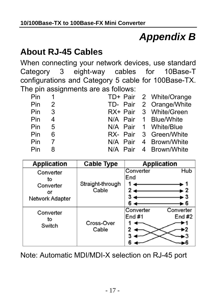# *Appendix B*

#### <span id="page-20-0"></span>**About RJ-45 Cables**

When connecting your network devices, use standard Category 3 eight-way cables for 10Base-T configurations and Category 5 cable for 100Base-TX. The pin assignments are as follows:

|    |                                                                                     | TD+ Pair 2 White/Orange                        |
|----|-------------------------------------------------------------------------------------|------------------------------------------------|
|    |                                                                                     | TD- Pair 2 Orange/White                        |
|    |                                                                                     | RX+ Pair 3 White/Green                         |
|    |                                                                                     |                                                |
|    |                                                                                     |                                                |
|    |                                                                                     | RX- Pair 3 Green/White                         |
|    |                                                                                     | N/A Pair 4 Brown/White                         |
| -8 |                                                                                     | N/A Pair 4 Brown/White                         |
|    | Pin 1<br>$Pin$ 2<br>Pin <sub>3</sub><br>Pin 4<br>Pin 5<br>Pin 6<br>Pin <sub>7</sub> | N/A Pair 1 Blue/White<br>N/A Pair 1 White/Blue |

| <b>Application</b>                                    | <b>Cable Type</b>         | <b>Application</b>                                                     |
|-------------------------------------------------------|---------------------------|------------------------------------------------------------------------|
| Converter<br>to<br>Converter<br>٥r<br>Network Adapter | Straight-through<br>Cable | Hub<br>Converter<br>End<br>2<br>$\overline{2}$<br>3<br>- 3<br>6<br>. 6 |
| Converter<br>to<br>Switch                             | Cross-Over<br>Cable       | Converter<br>Converter<br>End $#1$<br>End $#2$<br>3                    |

Note: Automatic MDI/MDI-X selection on RJ-45 port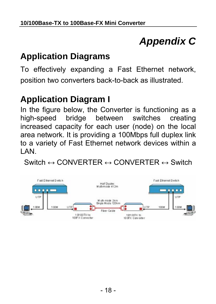# *Appendix C*

#### <span id="page-21-0"></span>**Application Diagrams**

To effectively expanding a Fast Ethernet network, position two converters back-to-back as illustrated.

#### **Application Diagram I**

In the figure below, the Converter is functioning as a high-speed bridge between switches creating increased capacity for each user (node) on the local area network. It is providing a 100Mbps full duplex link to a variety of Fast Ethernet network devices within a LAN.

Switch  $\leftrightarrow$  CONVERTER  $\leftrightarrow$  CONVERTER  $\leftrightarrow$  Switch